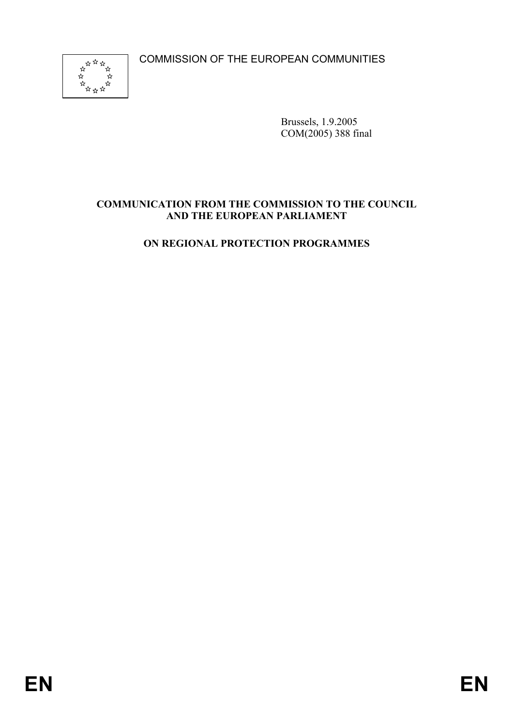COMMISSION OF THE EUROPEAN COMMUNITIES



Brussels, 1.9.2005 COM(2005) 388 final

## **COMMUNICATION FROM THE COMMISSION TO THE COUNCIL AND THE EUROPEAN PARLIAMENT**

# **ON REGIONAL PROTECTION PROGRAMMES**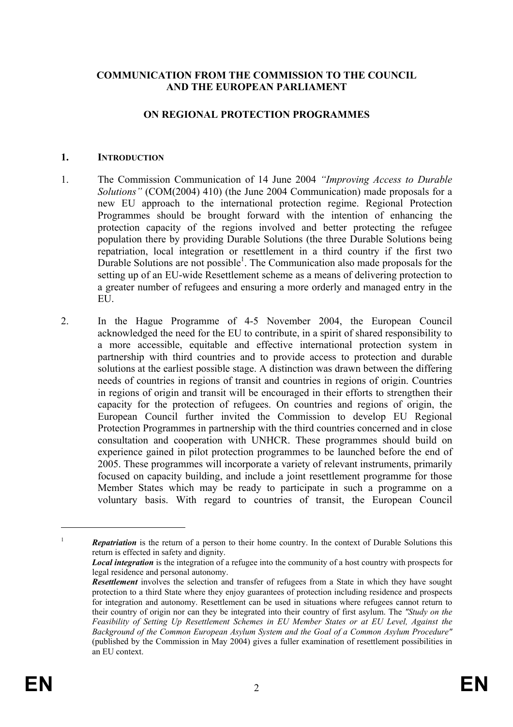### **COMMUNICATION FROM THE COMMISSION TO THE COUNCIL AND THE EUROPEAN PARLIAMENT**

#### **ON REGIONAL PROTECTION PROGRAMMES**

#### **1. INTRODUCTION**

- 1. The Commission Communication of 14 June 2004 *"Improving Access to Durable Solutions"* (COM(2004) 410) (the June 2004 Communication) made proposals for a new EU approach to the international protection regime. Regional Protection Programmes should be brought forward with the intention of enhancing the protection capacity of the regions involved and better protecting the refugee population there by providing Durable Solutions (the three Durable Solutions being repatriation, local integration or resettlement in a third country if the first two Durable Solutions are not possible<sup>1</sup>. The Communication also made proposals for the setting up of an EU-wide Resettlement scheme as a means of delivering protection to a greater number of refugees and ensuring a more orderly and managed entry in the **EU**
- 2. In the Hague Programme of 4-5 November 2004, the European Council acknowledged the need for the EU to contribute, in a spirit of shared responsibility to a more accessible, equitable and effective international protection system in partnership with third countries and to provide access to protection and durable solutions at the earliest possible stage. A distinction was drawn between the differing needs of countries in regions of transit and countries in regions of origin. Countries in regions of origin and transit will be encouraged in their efforts to strengthen their capacity for the protection of refugees. On countries and regions of origin, the European Council further invited the Commission to develop EU Regional Protection Programmes in partnership with the third countries concerned and in close consultation and cooperation with UNHCR. These programmes should build on experience gained in pilot protection programmes to be launched before the end of 2005. These programmes will incorporate a variety of relevant instruments, primarily focused on capacity building, and include a joint resettlement programme for those Member States which may be ready to participate in such a programme on a voluntary basis. With regard to countries of transit, the European Council

<u>.</u>

<sup>&</sup>lt;sup>1</sup> *Repatriation* is the return of a person to their home country. In the context of Durable Solutions this return is effected in safety and dignity.

*Local integration* is the integration of a refugee into the community of a host country with prospects for legal residence and personal autonomy.

*Resettlement* involves the selection and transfer of refugees from a State in which they have sought protection to a third State where they enjoy guarantees of protection including residence and prospects for integration and autonomy. Resettlement can be used in situations where refugees cannot return to their country of origin nor can they be integrated into their country of first asylum. The *"Study on the Feasibility of Setting Up Resettlement Schemes in EU Member States or at EU Level, Against the Background of the Common European Asylum System and the Goal of a Common Asylum Procedure"* (published by the Commission in May 2004) gives a fuller examination of resettlement possibilities in an EU context.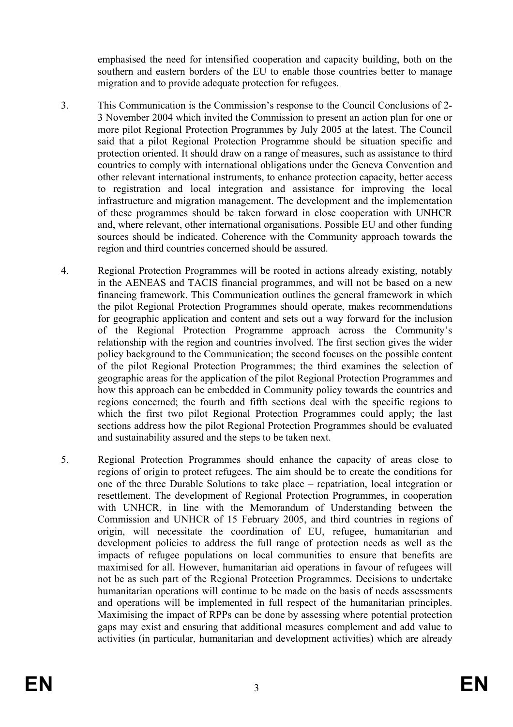emphasised the need for intensified cooperation and capacity building, both on the southern and eastern borders of the EU to enable those countries better to manage migration and to provide adequate protection for refugees.

- 3. This Communication is the Commission's response to the Council Conclusions of 2- 3 November 2004 which invited the Commission to present an action plan for one or more pilot Regional Protection Programmes by July 2005 at the latest. The Council said that a pilot Regional Protection Programme should be situation specific and protection oriented. It should draw on a range of measures, such as assistance to third countries to comply with international obligations under the Geneva Convention and other relevant international instruments, to enhance protection capacity, better access to registration and local integration and assistance for improving the local infrastructure and migration management. The development and the implementation of these programmes should be taken forward in close cooperation with UNHCR and, where relevant, other international organisations. Possible EU and other funding sources should be indicated. Coherence with the Community approach towards the region and third countries concerned should be assured.
- 4. Regional Protection Programmes will be rooted in actions already existing, notably in the AENEAS and TACIS financial programmes, and will not be based on a new financing framework. This Communication outlines the general framework in which the pilot Regional Protection Programmes should operate, makes recommendations for geographic application and content and sets out a way forward for the inclusion of the Regional Protection Programme approach across the Community's relationship with the region and countries involved. The first section gives the wider policy background to the Communication; the second focuses on the possible content of the pilot Regional Protection Programmes; the third examines the selection of geographic areas for the application of the pilot Regional Protection Programmes and how this approach can be embedded in Community policy towards the countries and regions concerned; the fourth and fifth sections deal with the specific regions to which the first two pilot Regional Protection Programmes could apply; the last sections address how the pilot Regional Protection Programmes should be evaluated and sustainability assured and the steps to be taken next.
- 5. Regional Protection Programmes should enhance the capacity of areas close to regions of origin to protect refugees. The aim should be to create the conditions for one of the three Durable Solutions to take place – repatriation, local integration or resettlement. The development of Regional Protection Programmes, in cooperation with UNHCR, in line with the Memorandum of Understanding between the Commission and UNHCR of 15 February 2005, and third countries in regions of origin, will necessitate the coordination of EU, refugee, humanitarian and development policies to address the full range of protection needs as well as the impacts of refugee populations on local communities to ensure that benefits are maximised for all. However, humanitarian aid operations in favour of refugees will not be as such part of the Regional Protection Programmes. Decisions to undertake humanitarian operations will continue to be made on the basis of needs assessments and operations will be implemented in full respect of the humanitarian principles. Maximising the impact of RPPs can be done by assessing where potential protection gaps may exist and ensuring that additional measures complement and add value to activities (in particular, humanitarian and development activities) which are already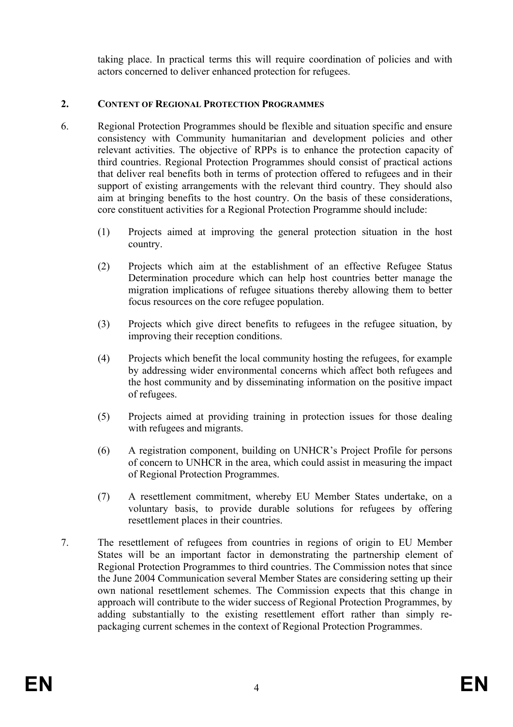taking place. In practical terms this will require coordination of policies and with actors concerned to deliver enhanced protection for refugees.

## **2. CONTENT OF REGIONAL PROTECTION PROGRAMMES**

- 6. Regional Protection Programmes should be flexible and situation specific and ensure consistency with Community humanitarian and development policies and other relevant activities. The objective of RPPs is to enhance the protection capacity of third countries. Regional Protection Programmes should consist of practical actions that deliver real benefits both in terms of protection offered to refugees and in their support of existing arrangements with the relevant third country. They should also aim at bringing benefits to the host country. On the basis of these considerations, core constituent activities for a Regional Protection Programme should include:
	- (1) Projects aimed at improving the general protection situation in the host country.
	- (2) Projects which aim at the establishment of an effective Refugee Status Determination procedure which can help host countries better manage the migration implications of refugee situations thereby allowing them to better focus resources on the core refugee population.
	- (3) Projects which give direct benefits to refugees in the refugee situation, by improving their reception conditions.
	- (4) Projects which benefit the local community hosting the refugees, for example by addressing wider environmental concerns which affect both refugees and the host community and by disseminating information on the positive impact of refugees.
	- (5) Projects aimed at providing training in protection issues for those dealing with refugees and migrants.
	- (6) A registration component, building on UNHCR's Project Profile for persons of concern to UNHCR in the area, which could assist in measuring the impact of Regional Protection Programmes.
	- (7) A resettlement commitment, whereby EU Member States undertake, on a voluntary basis, to provide durable solutions for refugees by offering resettlement places in their countries.
- 7. The resettlement of refugees from countries in regions of origin to EU Member States will be an important factor in demonstrating the partnership element of Regional Protection Programmes to third countries. The Commission notes that since the June 2004 Communication several Member States are considering setting up their own national resettlement schemes. The Commission expects that this change in approach will contribute to the wider success of Regional Protection Programmes, by adding substantially to the existing resettlement effort rather than simply repackaging current schemes in the context of Regional Protection Programmes.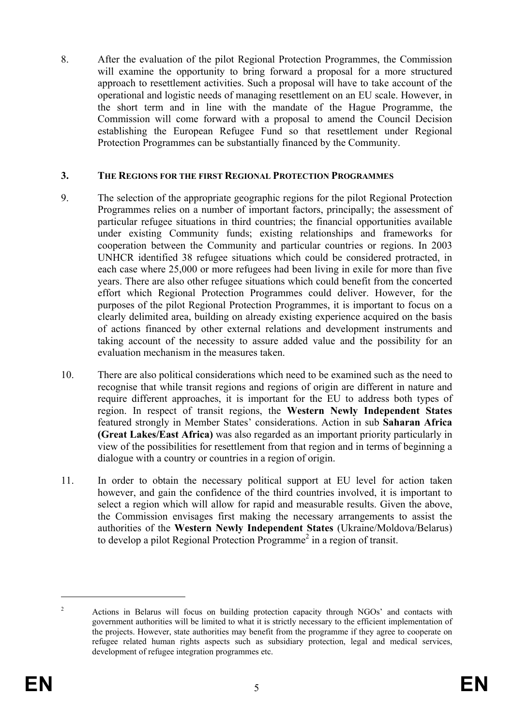8. After the evaluation of the pilot Regional Protection Programmes, the Commission will examine the opportunity to bring forward a proposal for a more structured approach to resettlement activities. Such a proposal will have to take account of the operational and logistic needs of managing resettlement on an EU scale. However, in the short term and in line with the mandate of the Hague Programme, the Commission will come forward with a proposal to amend the Council Decision establishing the European Refugee Fund so that resettlement under Regional Protection Programmes can be substantially financed by the Community.

## **3. THE REGIONS FOR THE FIRST REGIONAL PROTECTION PROGRAMMES**

- 9. The selection of the appropriate geographic regions for the pilot Regional Protection Programmes relies on a number of important factors, principally; the assessment of particular refugee situations in third countries; the financial opportunities available under existing Community funds; existing relationships and frameworks for cooperation between the Community and particular countries or regions. In 2003 UNHCR identified 38 refugee situations which could be considered protracted, in each case where 25,000 or more refugees had been living in exile for more than five years. There are also other refugee situations which could benefit from the concerted effort which Regional Protection Programmes could deliver. However, for the purposes of the pilot Regional Protection Programmes, it is important to focus on a clearly delimited area, building on already existing experience acquired on the basis of actions financed by other external relations and development instruments and taking account of the necessity to assure added value and the possibility for an evaluation mechanism in the measures taken.
- 10. There are also political considerations which need to be examined such as the need to recognise that while transit regions and regions of origin are different in nature and require different approaches, it is important for the EU to address both types of region. In respect of transit regions, the **Western Newly Independent States** featured strongly in Member States' considerations. Action in sub **Saharan Africa (Great Lakes/East Africa)** was also regarded as an important priority particularly in view of the possibilities for resettlement from that region and in terms of beginning a dialogue with a country or countries in a region of origin.
- 11. In order to obtain the necessary political support at EU level for action taken however, and gain the confidence of the third countries involved, it is important to select a region which will allow for rapid and measurable results. Given the above, the Commission envisages first making the necessary arrangements to assist the authorities of the **Western Newly Independent States** (Ukraine/Moldova/Belarus) to develop a pilot Regional Protection Programme<sup>2</sup> in a region of transit.

1

<sup>2</sup> Actions in Belarus will focus on building protection capacity through NGOs' and contacts with government authorities will be limited to what it is strictly necessary to the efficient implementation of the projects. However, state authorities may benefit from the programme if they agree to cooperate on refugee related human rights aspects such as subsidiary protection, legal and medical services, development of refugee integration programmes etc.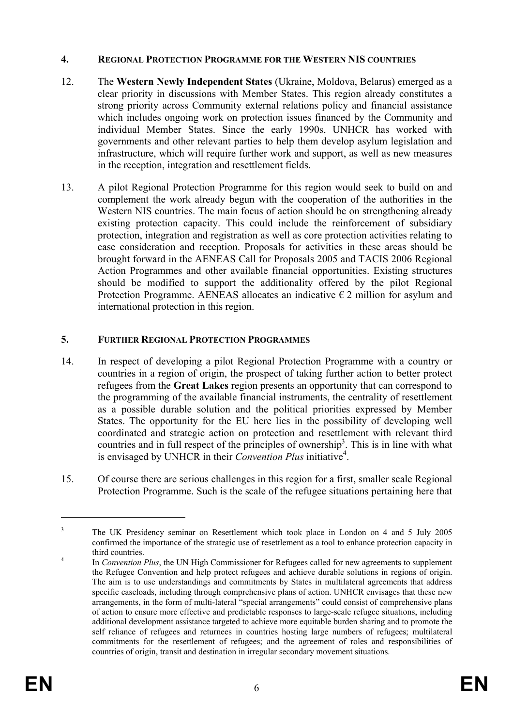### **4. REGIONAL PROTECTION PROGRAMME FOR THE WESTERN NIS COUNTRIES**

- 12. The **Western Newly Independent States** (Ukraine, Moldova, Belarus) emerged as a clear priority in discussions with Member States. This region already constitutes a strong priority across Community external relations policy and financial assistance which includes ongoing work on protection issues financed by the Community and individual Member States. Since the early 1990s, UNHCR has worked with governments and other relevant parties to help them develop asylum legislation and infrastructure, which will require further work and support, as well as new measures in the reception, integration and resettlement fields.
- 13. A pilot Regional Protection Programme for this region would seek to build on and complement the work already begun with the cooperation of the authorities in the Western NIS countries. The main focus of action should be on strengthening already existing protection capacity. This could include the reinforcement of subsidiary protection, integration and registration as well as core protection activities relating to case consideration and reception. Proposals for activities in these areas should be brought forward in the AENEAS Call for Proposals 2005 and TACIS 2006 Regional Action Programmes and other available financial opportunities. Existing structures should be modified to support the additionality offered by the pilot Regional Protection Programme. AENEAS allocates an indicative  $\epsilon$  2 million for asylum and international protection in this region.

# **5. FURTHER REGIONAL PROTECTION PROGRAMMES**

- 14. In respect of developing a pilot Regional Protection Programme with a country or countries in a region of origin, the prospect of taking further action to better protect refugees from the **Great Lakes** region presents an opportunity that can correspond to the programming of the available financial instruments, the centrality of resettlement as a possible durable solution and the political priorities expressed by Member States. The opportunity for the EU here lies in the possibility of developing well coordinated and strategic action on protection and resettlement with relevant third countries and in full respect of the principles of ownership<sup>3</sup>. This is in line with what is envisaged by UNHCR in their *Convention Plus* initiative<sup>4</sup>.
- 15. Of course there are serious challenges in this region for a first, smaller scale Regional Protection Programme. Such is the scale of the refugee situations pertaining here that

1

<sup>3</sup> The UK Presidency seminar on Resettlement which took place in London on 4 and 5 July 2005 confirmed the importance of the strategic use of resettlement as a tool to enhance protection capacity in  $t$  third countries.

In *Convention Plus*, the UN High Commissioner for Refugees called for new agreements to supplement the Refugee Convention and help protect refugees and achieve durable solutions in regions of origin. The aim is to use understandings and commitments by States in multilateral agreements that address specific caseloads, including through comprehensive plans of action. UNHCR envisages that these new arrangements, in the form of multi-lateral "special arrangements" could consist of comprehensive plans of action to ensure more effective and predictable responses to large-scale refugee situations, including additional development assistance targeted to achieve more equitable burden sharing and to promote the self reliance of refugees and returnees in countries hosting large numbers of refugees; multilateral commitments for the resettlement of refugees; and the agreement of roles and responsibilities of countries of origin, transit and destination in irregular secondary movement situations.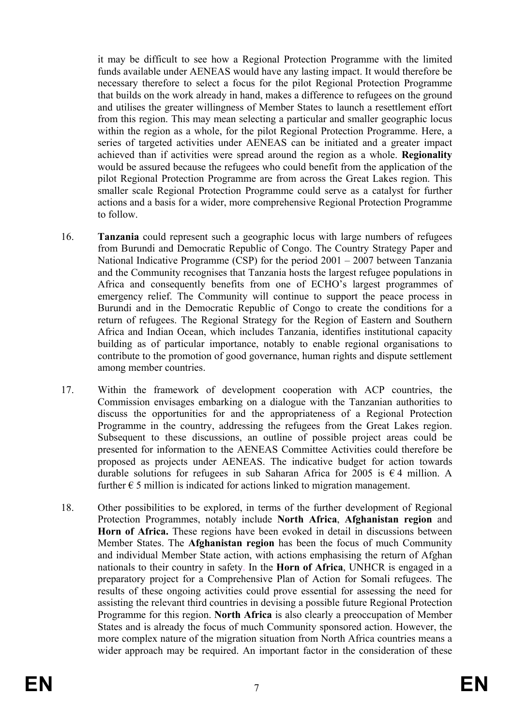it may be difficult to see how a Regional Protection Programme with the limited funds available under AENEAS would have any lasting impact. It would therefore be necessary therefore to select a focus for the pilot Regional Protection Programme that builds on the work already in hand, makes a difference to refugees on the ground and utilises the greater willingness of Member States to launch a resettlement effort from this region. This may mean selecting a particular and smaller geographic locus within the region as a whole, for the pilot Regional Protection Programme. Here, a series of targeted activities under AENEAS can be initiated and a greater impact achieved than if activities were spread around the region as a whole. **Regionality** would be assured because the refugees who could benefit from the application of the pilot Regional Protection Programme are from across the Great Lakes region. This smaller scale Regional Protection Programme could serve as a catalyst for further actions and a basis for a wider, more comprehensive Regional Protection Programme to follow.

- 16. **Tanzania** could represent such a geographic locus with large numbers of refugees from Burundi and Democratic Republic of Congo. The Country Strategy Paper and National Indicative Programme (CSP) for the period 2001 – 2007 between Tanzania and the Community recognises that Tanzania hosts the largest refugee populations in Africa and consequently benefits from one of ECHO's largest programmes of emergency relief. The Community will continue to support the peace process in Burundi and in the Democratic Republic of Congo to create the conditions for a return of refugees. The Regional Strategy for the Region of Eastern and Southern Africa and Indian Ocean, which includes Tanzania, identifies institutional capacity building as of particular importance, notably to enable regional organisations to contribute to the promotion of good governance, human rights and dispute settlement among member countries.
- 17. Within the framework of development cooperation with ACP countries, the Commission envisages embarking on a dialogue with the Tanzanian authorities to discuss the opportunities for and the appropriateness of a Regional Protection Programme in the country, addressing the refugees from the Great Lakes region. Subsequent to these discussions, an outline of possible project areas could be presented for information to the AENEAS Committee Activities could therefore be proposed as projects under AENEAS. The indicative budget for action towards durable solutions for refugees in sub Saharan Africa for 2005 is  $\epsilon$  4 million. A further  $\epsilon$  5 million is indicated for actions linked to migration management.
- 18. Other possibilities to be explored, in terms of the further development of Regional Protection Programmes, notably include **North Africa**, **Afghanistan region** and **Horn of Africa.** These regions have been evoked in detail in discussions between Member States. The **Afghanistan region** has been the focus of much Community and individual Member State action, with actions emphasising the return of Afghan nationals to their country in safety. In the **Horn of Africa**, UNHCR is engaged in a preparatory project for a Comprehensive Plan of Action for Somali refugees. The results of these ongoing activities could prove essential for assessing the need for assisting the relevant third countries in devising a possible future Regional Protection Programme for this region. **North Africa** is also clearly a preoccupation of Member States and is already the focus of much Community sponsored action. However, the more complex nature of the migration situation from North Africa countries means a wider approach may be required. An important factor in the consideration of these